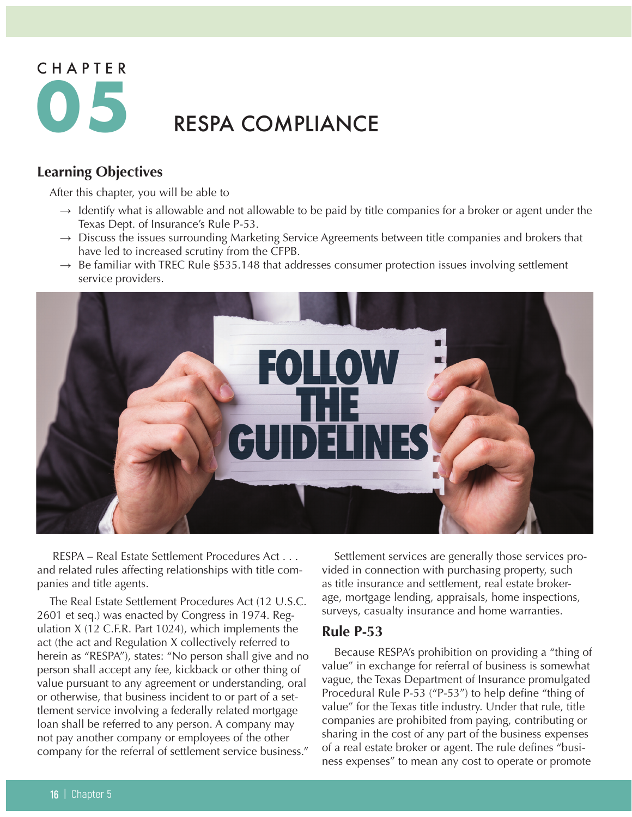# CHAPTER **05** RESPA COMPLIANCE

# **Learning Objectives**

After this chapter, you will be able to

- $\rightarrow$  Identify what is allowable and not allowable to be paid by title companies for a broker or agent under the Texas Dept. of Insurance's Rule P-53.
- $\rightarrow$  Discuss the issues surrounding Marketing Service Agreements between title companies and brokers that have led to increased scrutiny from the CFPB.
- $\rightarrow$  Be familiar with TREC Rule §535.148 that addresses consumer protection issues involving settlement service providers.



 RESPA – Real Estate Settlement Procedures Act . . . and related rules affecting relationships with title companies and title agents.

The Real Estate Settlement Procedures Act (12 U.S.C. 2601 et seq.) was enacted by Congress in 1974. Regulation X (12 C.F.R. Part 1024), which implements the act (the act and Regulation X collectively referred to herein as "RESPA"), states: "No person shall give and no person shall accept any fee, kickback or other thing of value pursuant to any agreement or understanding, oral or otherwise, that business incident to or part of a settlement service involving a federally related mortgage loan shall be referred to any person. A company may not pay another company or employees of the other company for the referral of settlement service business."

Settlement services are generally those services provided in connection with purchasing property, such as title insurance and settlement, real estate brokerage, mortgage lending, appraisals, home inspections, surveys, casualty insurance and home warranties.

## **Rule P-53**

Because RESPA's prohibition on providing a "thing of value" in exchange for referral of business is somewhat vague, the Texas Department of Insurance promulgated Procedural Rule P-53 ("P-53") to help define "thing of value" for the Texas title industry. Under that rule, title companies are prohibited from paying, contributing or sharing in the cost of any part of the business expenses of a real estate broker or agent. The rule defines "business expenses" to mean any cost to operate or promote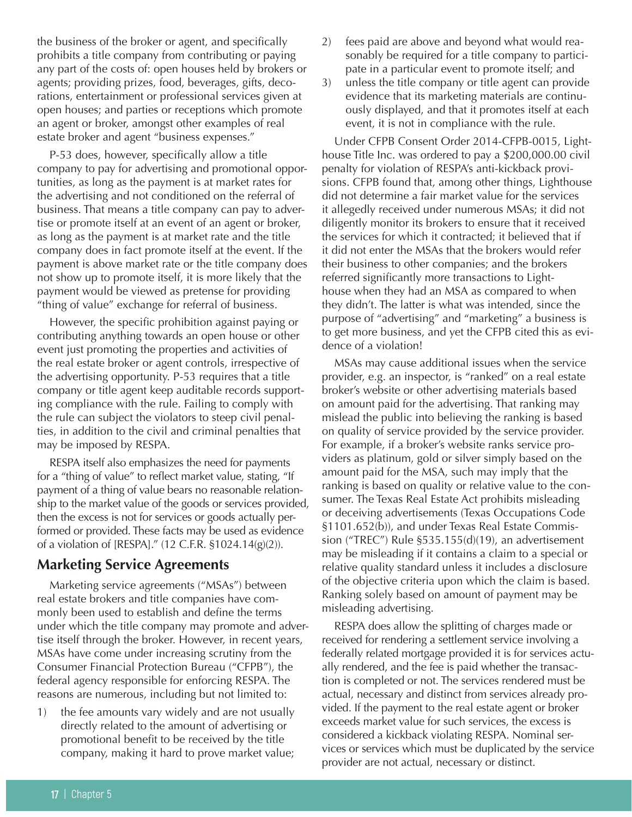the business of the broker or agent, and specifically prohibits a title company from contributing or paying any part of the costs of: open houses held by brokers or agents; providing prizes, food, beverages, gifts, decorations, entertainment or professional services given at open houses; and parties or receptions which promote an agent or broker, amongst other examples of real estate broker and agent "business expenses."

P-53 does, however, specifically allow a title company to pay for advertising and promotional opportunities, as long as the payment is at market rates for the advertising and not conditioned on the referral of business. That means a title company can pay to advertise or promote itself at an event of an agent or broker, as long as the payment is at market rate and the title company does in fact promote itself at the event. If the payment is above market rate or the title company does not show up to promote itself, it is more likely that the payment would be viewed as pretense for providing "thing of value" exchange for referral of business.

However, the specific prohibition against paying or contributing anything towards an open house or other event just promoting the properties and activities of the real estate broker or agent controls, irrespective of the advertising opportunity. P-53 requires that a title company or title agent keep auditable records supporting compliance with the rule. Failing to comply with the rule can subject the violators to steep civil penalties, in addition to the civil and criminal penalties that may be imposed by RESPA.

RESPA itself also emphasizes the need for payments for a "thing of value" to reflect market value, stating, "If payment of a thing of value bears no reasonable relationship to the market value of the goods or services provided, then the excess is not for services or goods actually performed or provided. These facts may be used as evidence of a violation of [RESPA]." (12 C.F.R. §1024.14(g)(2)).

## **Marketing Service Agreements**

Marketing service agreements ("MSAs") between real estate brokers and title companies have commonly been used to establish and define the terms under which the title company may promote and advertise itself through the broker. However, in recent years, MSAs have come under increasing scrutiny from the Consumer Financial Protection Bureau ("CFPB"), the federal agency responsible for enforcing RESPA. The reasons are numerous, including but not limited to:

1) the fee amounts vary widely and are not usually directly related to the amount of advertising or promotional benefit to be received by the title company, making it hard to prove market value;

- 2) fees paid are above and beyond what would reasonably be required for a title company to participate in a particular event to promote itself; and
- 3) unless the title company or title agent can provide evidence that its marketing materials are continuously displayed, and that it promotes itself at each event, it is not in compliance with the rule.

Under CFPB Consent Order 2014-CFPB-0015, Lighthouse Title Inc. was ordered to pay a \$200,000.00 civil penalty for violation of RESPA's anti-kickback provisions. CFPB found that, among other things, Lighthouse did not determine a fair market value for the services it allegedly received under numerous MSAs; it did not diligently monitor its brokers to ensure that it received the services for which it contracted; it believed that if it did not enter the MSAs that the brokers would refer their business to other companies; and the brokers referred significantly more transactions to Lighthouse when they had an MSA as compared to when they didn't. The latter is what was intended, since the purpose of "advertising" and "marketing" a business is to get more business, and yet the CFPB cited this as evidence of a violation!

MSAs may cause additional issues when the service provider, e.g. an inspector, is "ranked" on a real estate broker's website or other advertising materials based on amount paid for the advertising. That ranking may mislead the public into believing the ranking is based on quality of service provided by the service provider. For example, if a broker's website ranks service providers as platinum, gold or silver simply based on the amount paid for the MSA, such may imply that the ranking is based on quality or relative value to the consumer. The Texas Real Estate Act prohibits misleading or deceiving advertisements (Texas Occupations Code §1101.652(b)), and under Texas Real Estate Commission ("TREC") Rule §535.155(d)(19), an advertisement may be misleading if it contains a claim to a special or relative quality standard unless it includes a disclosure of the objective criteria upon which the claim is based. Ranking solely based on amount of payment may be misleading advertising.

RESPA does allow the splitting of charges made or received for rendering a settlement service involving a federally related mortgage provided it is for services actually rendered, and the fee is paid whether the transaction is completed or not. The services rendered must be actual, necessary and distinct from services already provided. If the payment to the real estate agent or broker exceeds market value for such services, the excess is considered a kickback violating RESPA. Nominal services or services which must be duplicated by the service provider are not actual, necessary or distinct.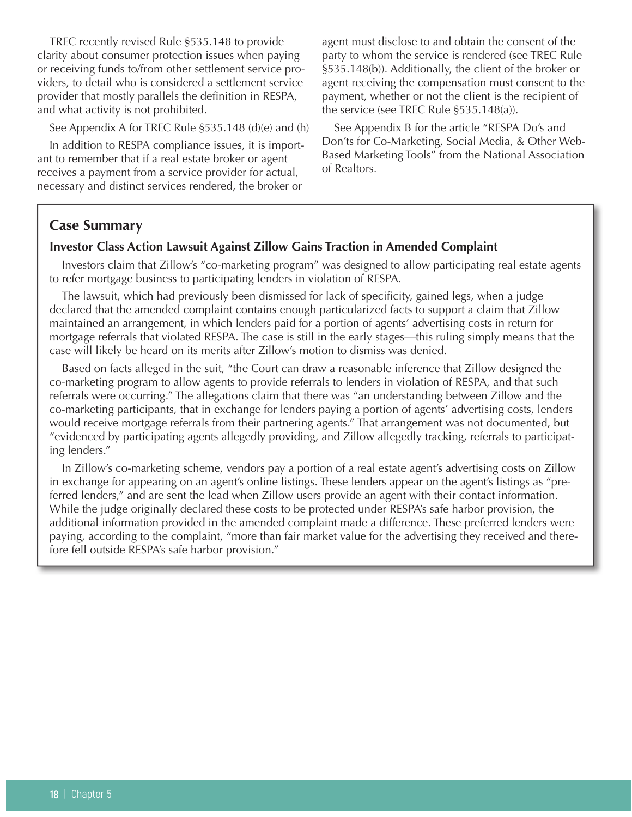TREC recently revised Rule §535.148 to provide clarity about consumer protection issues when paying or receiving funds to/from other settlement service providers, to detail who is considered a settlement service provider that mostly parallels the definition in RESPA, and what activity is not prohibited.

See Appendix A for TREC Rule §535.148 (d)(e) and (h)

In addition to RESPA compliance issues, it is important to remember that if a real estate broker or agent receives a payment from a service provider for actual, necessary and distinct services rendered, the broker or

agent must disclose to and obtain the consent of the party to whom the service is rendered (see TREC Rule §535.148(b)). Additionally, the client of the broker or agent receiving the compensation must consent to the payment, whether or not the client is the recipient of the service (see TREC Rule §535.148(a)).

See Appendix B for the article "RESPA Do's and Don'ts for Co-Marketing, Social Media, & Other Web-Based Marketing Tools" from the National Association of Realtors.

## **Case Summary**

#### **Investor Class Action Lawsuit Against Zillow Gains Traction in Amended Complaint**

Investors claim that Zillow's "co-marketing program" was designed to allow participating real estate agents to refer mortgage business to participating lenders in violation of RESPA.

The lawsuit, which had previously been dismissed for lack of specificity, gained legs, when a judge declared that the amended complaint contains enough particularized facts to support a claim that Zillow maintained an arrangement, in which lenders paid for a portion of agents' advertising costs in return for mortgage referrals that violated RESPA. The case is still in the early stages—this ruling simply means that the case will likely be heard on its merits after Zillow's motion to dismiss was denied.

Based on facts alleged in the suit, "the Court can draw a reasonable inference that Zillow designed the co-marketing program to allow agents to provide referrals to lenders in violation of RESPA, and that such referrals were occurring." The allegations claim that there was "an understanding between Zillow and the co-marketing participants, that in exchange for lenders paying a portion of agents' advertising costs, lenders would receive mortgage referrals from their partnering agents." That arrangement was not documented, but "evidenced by participating agents allegedly providing, and Zillow allegedly tracking, referrals to participating lenders."

In Zillow's co-marketing scheme, vendors pay a portion of a real estate agent's advertising costs on Zillow in exchange for appearing on an agent's online listings. These lenders appear on the agent's listings as "preferred lenders," and are sent the lead when Zillow users provide an agent with their contact information. While the judge originally declared these costs to be protected under RESPA's safe harbor provision, the additional information provided in the amended complaint made a difference. These preferred lenders were paying, according to the complaint, "more than fair market value for the advertising they received and therefore fell outside RESPA's safe harbor provision."